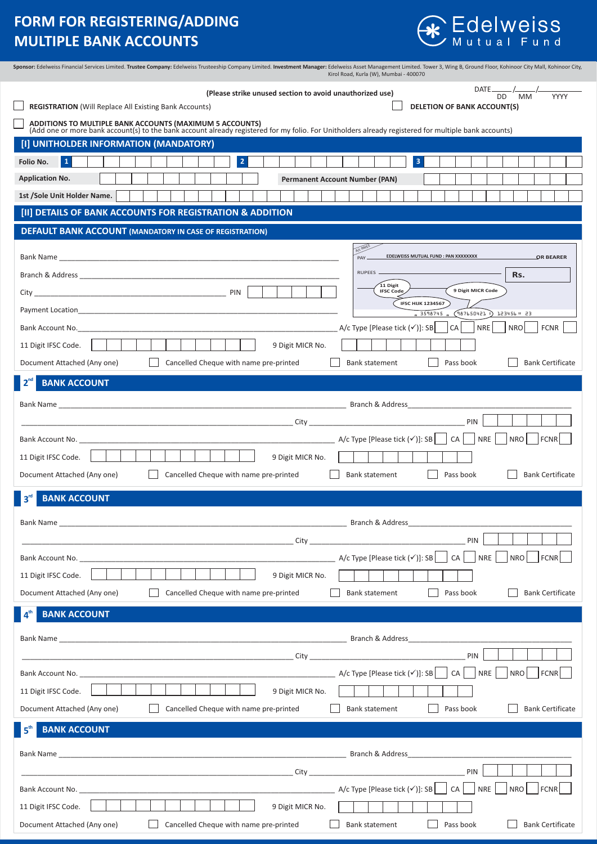# **FORM FOR REGISTERING/ADDING MULTIPLE BANK ACCOUNTS**



| Sponsor: Edelweiss Financial Services Limited. Trustee Company: Edelweiss Trusteeship Company Limited. Investment Manager: Edelweiss Asset Management Limited. Tower 3, Wing B, Ground Floor, Kohinoor City Mall, Kohinoor Cit |                                        |                                                          |  |                  | Kirol Road, Kurla (W), Mumbai - 400070             |                |                                                    |  |                         |                                                                                                        |           |            |            |                                      |                         |                         |  |
|--------------------------------------------------------------------------------------------------------------------------------------------------------------------------------------------------------------------------------|----------------------------------------|----------------------------------------------------------|--|------------------|----------------------------------------------------|----------------|----------------------------------------------------|--|-------------------------|--------------------------------------------------------------------------------------------------------|-----------|------------|------------|--------------------------------------|-------------------------|-------------------------|--|
|                                                                                                                                                                                                                                |                                        | (Please strike unused section to avoid unauthorized use) |  |                  |                                                    |                |                                                    |  |                         |                                                                                                        |           |            |            | $\frac{DATE}{DD}$ / $\frac{1}{MM}$ / |                         |                         |  |
| <b>REGISTRATION (Will Replace All Existing Bank Accounts)</b>                                                                                                                                                                  |                                        |                                                          |  |                  |                                                    |                |                                                    |  |                         | <b>DELETION OF BANK ACCOUNT(S)</b>                                                                     |           |            |            |                                      |                         | YYYY                    |  |
| ADDITIONS TO MULTIPLE BANK ACCOUNTS (MAXIMUM 5 ACCOUNTS)<br>(Add one or more bank account(s) to the bank account already registered for my folio. For Unitholders already registered for multiple bank accounts)               |                                        |                                                          |  |                  |                                                    |                |                                                    |  |                         |                                                                                                        |           |            |            |                                      |                         |                         |  |
| [I] UNITHOLDER INFORMATION (MANDATORY)                                                                                                                                                                                         |                                        |                                                          |  |                  |                                                    |                |                                                    |  |                         |                                                                                                        |           |            |            |                                      |                         |                         |  |
| $\mathbf{1}$<br>Folio No.                                                                                                                                                                                                      |                                        | $\overline{2}$                                           |  |                  |                                                    |                |                                                    |  | $\overline{\mathbf{3}}$ |                                                                                                        |           |            |            |                                      |                         |                         |  |
| <b>Application No.</b>                                                                                                                                                                                                         |                                        |                                                          |  |                  | <b>Permanent Account Number (PAN)</b>              |                |                                                    |  |                         |                                                                                                        |           |            |            |                                      |                         |                         |  |
| 1st /Sole Unit Holder Name.                                                                                                                                                                                                    |                                        |                                                          |  |                  |                                                    |                |                                                    |  |                         |                                                                                                        |           |            |            |                                      |                         |                         |  |
| [II] DETAILS OF BANK ACCOUNTS FOR REGISTRATION & ADDITION                                                                                                                                                                      |                                        |                                                          |  |                  |                                                    |                |                                                    |  |                         |                                                                                                        |           |            |            |                                      |                         |                         |  |
| <b>DEFAULT BANK ACCOUNT (MANDATORY IN CASE OF REGISTRATION)</b>                                                                                                                                                                |                                        |                                                          |  |                  |                                                    |                |                                                    |  |                         |                                                                                                        |           |            |            |                                      |                         |                         |  |
|                                                                                                                                                                                                                                |                                        |                                                          |  |                  |                                                    |                |                                                    |  |                         |                                                                                                        |           |            |            |                                      |                         |                         |  |
|                                                                                                                                                                                                                                |                                        |                                                          |  |                  |                                                    | PAY            |                                                    |  |                         | EDELWEISS MUTUAL FUND : PAN XXXXXXXX                                                                   |           |            |            |                                      |                         | OR BEARER               |  |
|                                                                                                                                                                                                                                |                                        |                                                          |  |                  |                                                    | RUPEES -       |                                                    |  |                         |                                                                                                        |           |            |            | Rs.                                  |                         |                         |  |
| 11 Digit<br>9 Digit MICR Code<br><b>IFSC Code</b>                                                                                                                                                                              |                                        |                                                          |  |                  |                                                    |                |                                                    |  |                         |                                                                                                        |           |            |            |                                      |                         |                         |  |
| <b>IFSC HIJK 1234567</b><br>Payment Location <b>Example 20</b> No. 2014 12:30 No. 2014 12:30 No. 2014 12:30 No. 2014 12:30 No. 2014 12:30 No. 2014<br>" 3598745 " (987650421 )<br>123456 H 23                                  |                                        |                                                          |  |                  |                                                    |                |                                                    |  |                         |                                                                                                        |           |            |            |                                      |                         |                         |  |
| Bank Account No. 2008 - 2008 - 2018 - 2018 - 2018 - 2018 - 2018 - 2018 - 2018 - 2018 - 2018 - 2018 - 2018 - 20                                                                                                                 |                                        |                                                          |  |                  |                                                    |                | A/c Type [Please tick (√)]: SB                     |  |                         |                                                                                                        | CA        | <b>NRE</b> |            | <b>NRO</b>                           |                         | <b>FCNR</b>             |  |
| 11 Digit IFSC Code.                                                                                                                                                                                                            |                                        |                                                          |  | 9 Digit MICR No. |                                                    |                |                                                    |  |                         |                                                                                                        |           |            |            |                                      |                         |                         |  |
| Document Attached (Any one)                                                                                                                                                                                                    |                                        | Cancelled Cheque with name pre-printed                   |  |                  |                                                    |                | <b>Bank statement</b>                              |  |                         |                                                                                                        | Pass book |            |            |                                      |                         | <b>Bank Certificate</b> |  |
| <b>BANK ACCOUNT</b>                                                                                                                                                                                                            |                                        |                                                          |  |                  |                                                    |                |                                                    |  |                         |                                                                                                        |           |            |            |                                      |                         |                         |  |
|                                                                                                                                                                                                                                |                                        |                                                          |  |                  |                                                    |                |                                                    |  |                         |                                                                                                        |           |            |            |                                      |                         |                         |  |
|                                                                                                                                                                                                                                |                                        |                                                          |  |                  |                                                    |                |                                                    |  |                         |                                                                                                        |           |            |            |                                      |                         |                         |  |
|                                                                                                                                                                                                                                |                                        |                                                          |  |                  |                                                    |                |                                                    |  |                         |                                                                                                        |           | PIN        |            |                                      |                         |                         |  |
| Bank Account No. ________________                                                                                                                                                                                              |                                        |                                                          |  |                  | A/c Type [Please tick $(\checkmark)$ ]: SB $\vert$ |                |                                                    |  |                         |                                                                                                        | CA        | <b>NRE</b> |            | <b>NRO</b>                           |                         | <b>FCNR</b>             |  |
| 11 Digit IFSC Code.                                                                                                                                                                                                            |                                        |                                                          |  | 9 Digit MICR No. |                                                    |                |                                                    |  |                         |                                                                                                        |           |            |            |                                      |                         |                         |  |
| Document Attached (Any one)                                                                                                                                                                                                    |                                        | Cancelled Cheque with name pre-printed                   |  |                  |                                                    |                | Bank statement                                     |  |                         |                                                                                                        | Pass book |            |            |                                      |                         | <b>Bank Certificate</b> |  |
| <b>BANK ACCOUNT</b>                                                                                                                                                                                                            |                                        |                                                          |  |                  |                                                    |                |                                                    |  |                         |                                                                                                        |           |            |            |                                      |                         |                         |  |
|                                                                                                                                                                                                                                |                                        |                                                          |  |                  |                                                    |                |                                                    |  |                         |                                                                                                        |           |            |            |                                      |                         |                         |  |
|                                                                                                                                                                                                                                |                                        |                                                          |  |                  |                                                    |                |                                                    |  |                         |                                                                                                        |           | PIN        |            |                                      |                         |                         |  |
| Bank Account No. 2008 - And the Contract of the Contract of the Contract of the Contract of the Contract of the                                                                                                                |                                        |                                                          |  |                  |                                                    |                |                                                    |  |                         | A/c Type [Please tick $(\checkmark)$ ]: SB $\begin{array}{ c c c c c c c c c } \hline \end{array}$ NRE |           |            |            |                                      | NRO FCNR                |                         |  |
|                                                                                                                                                                                                                                |                                        |                                                          |  |                  |                                                    |                |                                                    |  |                         |                                                                                                        |           |            |            |                                      |                         |                         |  |
| 11 Digit IFSC Code.                                                                                                                                                                                                            |                                        |                                                          |  | 9 Digit MICR No. |                                                    |                |                                                    |  |                         |                                                                                                        |           |            |            |                                      |                         |                         |  |
| Document Attached (Any one)                                                                                                                                                                                                    |                                        | Cancelled Cheque with name pre-printed                   |  |                  |                                                    |                | <b>Bank statement</b>                              |  |                         |                                                                                                        | Pass book |            |            |                                      |                         | <b>Bank Certificate</b> |  |
| <b>BANK ACCOUNT</b>                                                                                                                                                                                                            |                                        |                                                          |  |                  |                                                    |                |                                                    |  |                         |                                                                                                        |           |            |            |                                      |                         |                         |  |
|                                                                                                                                                                                                                                |                                        |                                                          |  |                  |                                                    |                |                                                    |  |                         |                                                                                                        |           |            |            |                                      |                         |                         |  |
|                                                                                                                                                                                                                                |                                        |                                                          |  |                  |                                                    |                |                                                    |  |                         |                                                                                                        |           | PIN        |            |                                      |                         |                         |  |
|                                                                                                                                                                                                                                |                                        |                                                          |  |                  |                                                    |                | A/c Type [Please tick $(\checkmark)$ ]: SB $\vert$ |  |                         |                                                                                                        | CA        |            | <b>NRE</b> | <b>NRO</b>                           |                         | <b>FCNR</b>             |  |
| 11 Digit IFSC Code.                                                                                                                                                                                                            |                                        |                                                          |  | 9 Digit MICR No. |                                                    |                |                                                    |  |                         |                                                                                                        |           |            |            |                                      |                         |                         |  |
| Document Attached (Any one)                                                                                                                                                                                                    |                                        | Cancelled Cheque with name pre-printed                   |  |                  |                                                    |                | <b>Bank statement</b>                              |  |                         |                                                                                                        | Pass book |            |            |                                      |                         | <b>Bank Certificate</b> |  |
| <b>BANK ACCOUNT</b>                                                                                                                                                                                                            |                                        |                                                          |  |                  |                                                    |                |                                                    |  |                         |                                                                                                        |           |            |            |                                      |                         |                         |  |
|                                                                                                                                                                                                                                |                                        |                                                          |  |                  |                                                    |                |                                                    |  |                         |                                                                                                        |           |            |            |                                      |                         |                         |  |
|                                                                                                                                                                                                                                |                                        |                                                          |  |                  |                                                    |                |                                                    |  |                         |                                                                                                        |           | PIN        |            |                                      |                         |                         |  |
|                                                                                                                                                                                                                                |                                        |                                                          |  |                  |                                                    |                |                                                    |  |                         |                                                                                                        | CA        |            | NRE        |                                      |                         |                         |  |
|                                                                                                                                                                                                                                |                                        |                                                          |  |                  |                                                    |                |                                                    |  |                         |                                                                                                        |           |            |            | NRO                                  |                         | <b>FCNR</b>             |  |
| 11 Digit IFSC Code.                                                                                                                                                                                                            |                                        |                                                          |  | 9 Digit MICR No. |                                                    |                |                                                    |  |                         |                                                                                                        | Pass book |            |            |                                      | <b>Bank Certificate</b> |                         |  |
| Document Attached (Any one)                                                                                                                                                                                                    | Cancelled Cheque with name pre-printed |                                                          |  |                  |                                                    | Bank statement |                                                    |  |                         |                                                                                                        |           |            |            |                                      |                         |                         |  |